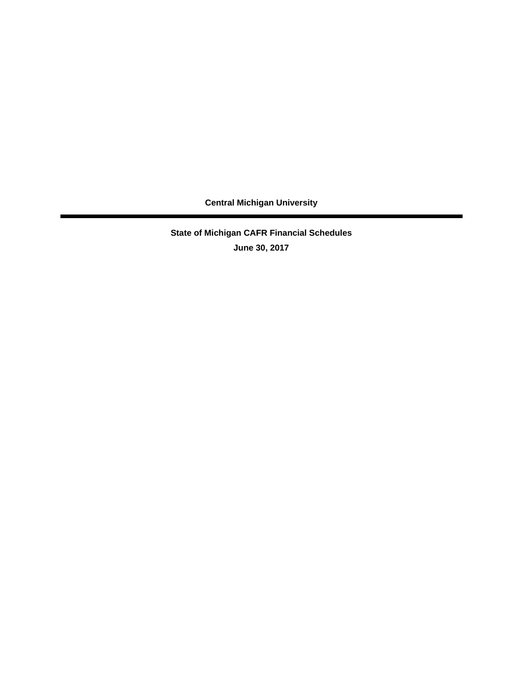**State of Michigan CAFR Financial Schedules June 30, 2017**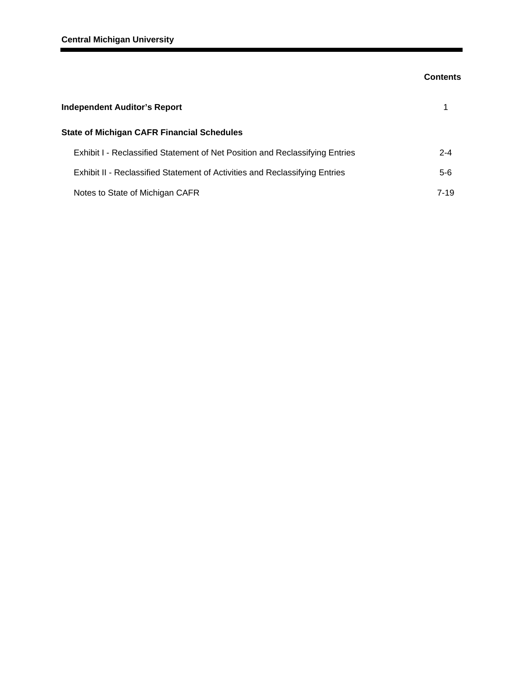## **Contents**

| <b>Independent Auditor's Report</b>                                          |          |  |  |  |  |
|------------------------------------------------------------------------------|----------|--|--|--|--|
| <b>State of Michigan CAFR Financial Schedules</b>                            |          |  |  |  |  |
| Exhibit I - Reclassified Statement of Net Position and Reclassifying Entries | $2 - 4$  |  |  |  |  |
| Exhibit II - Reclassified Statement of Activities and Reclassifying Entries  | $5-6$    |  |  |  |  |
| Notes to State of Michigan CAFR                                              | $7 - 19$ |  |  |  |  |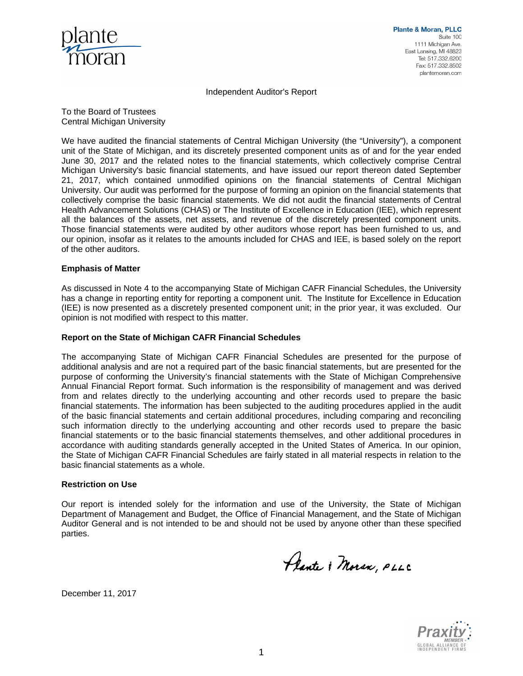

Independent Auditor's Report

To the Board of Trustees Central Michigan University

We have audited the financial statements of Central Michigan University (the "University"), a component unit of the State of Michigan, and its discretely presented component units as of and for the year ended June 30, 2017 and the related notes to the financial statements, which collectively comprise Central Michigan University's basic financial statements, and have issued our report thereon dated September 21, 2017, which contained unmodified opinions on the financial statements of Central Michigan University. Our audit was performed for the purpose of forming an opinion on the financial statements that collectively comprise the basic financial statements. We did not audit the financial statements of Central Health Advancement Solutions (CHAS) or The Institute of Excellence in Education (IEE), which represent all the balances of the assets, net assets, and revenue of the discretely presented component units. Those financial statements were audited by other auditors whose report has been furnished to us, and our opinion, insofar as it relates to the amounts included for CHAS and IEE, is based solely on the report of the other auditors.

#### **Emphasis of Matter**

As discussed in Note 4 to the accompanying State of Michigan CAFR Financial Schedules, the University has a change in reporting entity for reporting a component unit. The Institute for Excellence in Education (IEE) is now presented as a discretely presented component unit; in the prior year, it was excluded. Our opinion is not modified with respect to this matter.

#### **Report on the State of Michigan CAFR Financial Schedules**

The accompanying State of Michigan CAFR Financial Schedules are presented for the purpose of additional analysis and are not a required part of the basic financial statements, but are presented for the purpose of conforming the University's financial statements with the State of Michigan Comprehensive Annual Financial Report format. Such information is the responsibility of management and was derived from and relates directly to the underlying accounting and other records used to prepare the basic financial statements. The information has been subjected to the auditing procedures applied in the audit of the basic financial statements and certain additional procedures, including comparing and reconciling such information directly to the underlying accounting and other records used to prepare the basic financial statements or to the basic financial statements themselves, and other additional procedures in accordance with auditing standards generally accepted in the United States of America. In our opinion, the State of Michigan CAFR Financial Schedules are fairly stated in all material respects in relation to the basic financial statements as a whole.

#### **Restriction on Use**

Our report is intended solely for the information and use of the University, the State of Michigan Department of Management and Budget, the Office of Financial Management, and the State of Michigan Auditor General and is not intended to be and should not be used by anyone other than these specified parties.

Plante & Moran, PLLC



December 11, 2017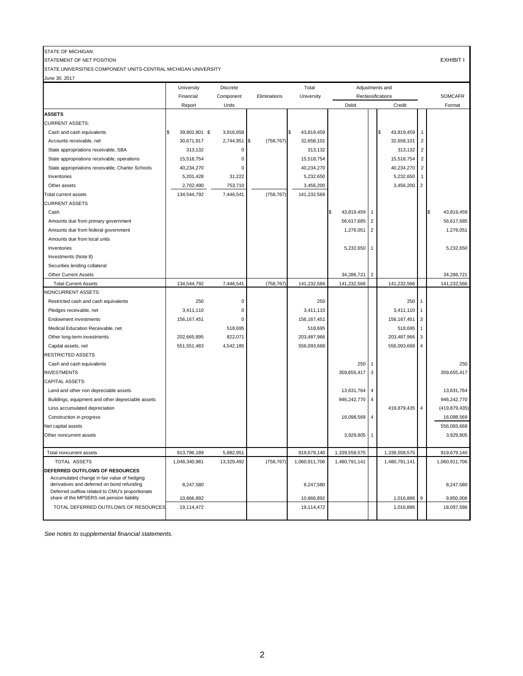## STATE OF MICHIGAN

STATEMENT OF NET POSITION EXHIBIT I

STATE UNIVERSITIES COMPONENT UNITS-CENTRAL MICHIGAN UNIVERSITY

| June 30, 2017                                                                             |               |                 |              |               |                 |                 |                   |                |                   |
|-------------------------------------------------------------------------------------------|---------------|-----------------|--------------|---------------|-----------------|-----------------|-------------------|----------------|-------------------|
|                                                                                           | University    | <b>Discrete</b> |              | Total         |                 | Adjustments and |                   |                |                   |
|                                                                                           | Financial     | Component       | Eliminations | University    |                 |                 | Reclassifications |                | <b>SOMCAFR</b>    |
|                                                                                           | Report        | Units           |              |               | Debit           |                 | Credit            |                | Format            |
| <b>ASSETS</b>                                                                             |               |                 |              |               |                 |                 |                   |                |                   |
| <b>CURRENT ASSETS:</b>                                                                    |               |                 |              |               |                 |                 |                   |                |                   |
| Cash and cash equivalents                                                                 | 39,902,801 \$ | 3,916,658       |              | 43,819,459    |                 |                 | 43,819,459<br>1\$ | $\overline{1}$ |                   |
| Accounts receivable, net                                                                  | 30,671,917    | 2,744,951 \$    | (758, 767)   | 32,658,101    |                 |                 | 32,658,101        | $\overline{2}$ |                   |
| State appropriations receivable, SBA                                                      | 313,132       | 0               |              | 313,132       |                 |                 | 313,132           | $\overline{2}$ |                   |
| State appropriations receivable, operations                                               | 15,518,754    | 0               |              | 15,518,754    |                 |                 | 15,518,754        | $\overline{2}$ |                   |
| State appropriations receivable, Charter Schools                                          | 40,234,270    | 0               |              | 40,234,270    |                 |                 | 40,234,270        | $\overline{2}$ |                   |
| Inventories                                                                               | 5,201,428     | 31,222          |              | 5,232,650     |                 |                 | 5,232,650         | $\overline{1}$ |                   |
| Other assets                                                                              | 2,702,490     | 753,710         |              | 3,456,200     |                 |                 | 3,456,200         | $\overline{2}$ |                   |
| <b>Total current assets</b>                                                               | 134,544,792   | 7,446,541       | (758, 767)   | 141,232,566   |                 |                 |                   |                |                   |
| <b>CURRENT ASSETS</b>                                                                     |               |                 |              |               |                 |                 |                   |                |                   |
| Cash                                                                                      |               |                 |              |               | 43,819,459<br>S |                 |                   |                | 43,819,459<br>I\$ |
| Amounts due from primary government                                                       |               |                 |              |               | 56,617,685      | $\overline{2}$  |                   |                | 56,617,685        |
| Amounts due from federal government                                                       |               |                 |              |               | 1,276,051       | $\overline{2}$  |                   |                | 1,276,051         |
| Amounts due from local units                                                              |               |                 |              |               |                 |                 |                   |                |                   |
| Inventories                                                                               |               |                 |              |               | 5,232,650       |                 |                   |                | 5,232,650         |
| Investments (Note 8)                                                                      |               |                 |              |               |                 |                 |                   |                |                   |
| Securities lending collateral                                                             |               |                 |              |               |                 |                 |                   |                |                   |
| <b>Other Current Assets</b>                                                               |               |                 |              |               | 34,286,721      | $\overline{2}$  |                   |                | 34,286,721        |
| <b>Total Current Assets</b>                                                               | 134,544,792   | 7,446,541       | (758, 767)   | 141,232,566   | 141,232,566     |                 | 141,232,566       |                | 141,232,566       |
| <b>NONCURRENT ASSETS:</b>                                                                 |               |                 |              |               |                 |                 |                   |                |                   |
| Restricted cash and cash equivalents                                                      | 250           | 0               |              | 250           |                 |                 | 250               | $\mathbf{1}$   |                   |
| Pledges receivable, net                                                                   | 3,411,110     | 0               |              | 3,411,110     |                 |                 | 3,411,110         | $\overline{1}$ |                   |
| <b>Endowment investments</b>                                                              | 156, 167, 451 | 0               |              | 156,167,451   |                 |                 | 156,167,451       | $\vert$ 3      |                   |
| Medical Education Receivable, net                                                         |               | 518,695         |              | 518,695       |                 |                 | 518,695           | $\mathbf{1}$   |                   |
| Other long-term investments                                                               | 202,665,895   | 822,071         |              | 203,487,966   |                 |                 | 203,487,966       | 3              |                   |
| Capital assets, net                                                                       | 551,551,483   | 4,542,185       |              | 556,093,668   |                 |                 | 556,093,668 4     |                |                   |
| <b>RESTRICTED ASSETS</b>                                                                  |               |                 |              |               |                 |                 |                   |                |                   |
| Cash and cash equivalents                                                                 |               |                 |              |               | 250             |                 |                   |                | 250               |
| <b>INVESTMENTS</b>                                                                        |               |                 |              |               | 359,655,417 3   |                 |                   |                | 359,655,417       |
| CAPITAL ASSETS:                                                                           |               |                 |              |               |                 |                 |                   |                |                   |
| Land and other non depreciable assets                                                     |               |                 |              |               | 13,631,764 4    |                 |                   |                | 13,631,764        |
|                                                                                           |               |                 |              |               | 946,242,770 4   |                 |                   |                | 946,242,770       |
| Buildings, equipment and other depreciable assets                                         |               |                 |              |               |                 |                 |                   |                | (419, 879, 435)   |
| Less accumulated depreciation                                                             |               |                 |              |               |                 |                 | 419,879,435       | $\overline{4}$ |                   |
| Construction in progress                                                                  |               |                 |              |               | 16,098,569 4    |                 |                   |                | 16,098,569        |
| Net capital assets                                                                        |               |                 |              |               |                 |                 |                   |                | 556,093,668       |
| Other noncurrent assets                                                                   |               |                 |              |               | 3,929,805       |                 |                   |                | 3,929,805         |
| Total noncurrent assets                                                                   | 913,796,189   | 5,882,951       |              | 919,679,140   | 1,339,558,575   |                 | 1,339,558,575     |                | 919,679,140       |
| TOTAL ASSETS                                                                              | 1,048,340,981 | 13,329,492      | (758, 767)   | 1,060,911,706 | 1,480,791,141   |                 | 1,480,791,141     |                | 1,060,911,706     |
| DEFERRED OUTFLOWS OF RESOURCES                                                            |               |                 |              |               |                 |                 |                   |                |                   |
| Accumulated change in fair value of hedging<br>derivatives and deferred on bond refunding |               |                 |              |               |                 |                 |                   |                |                   |
| Deferred outflow related to CMU's proportionate                                           | 8,247,580     |                 |              | 8,247,580     |                 |                 |                   |                | 8,247,580         |
| share of the MPSERS net pension liability                                                 | 10,866,892    |                 |              | 10,866,892    |                 |                 | $1,016,886$ 9     |                | 9,850,006         |
| TOTAL DEFERRED OUTFLOWS OF RESOURCES                                                      | 19,114,472    |                 |              | 19,114,472    |                 |                 | 1,016,886         |                | 18,097,586        |
|                                                                                           |               |                 |              |               |                 |                 |                   |                |                   |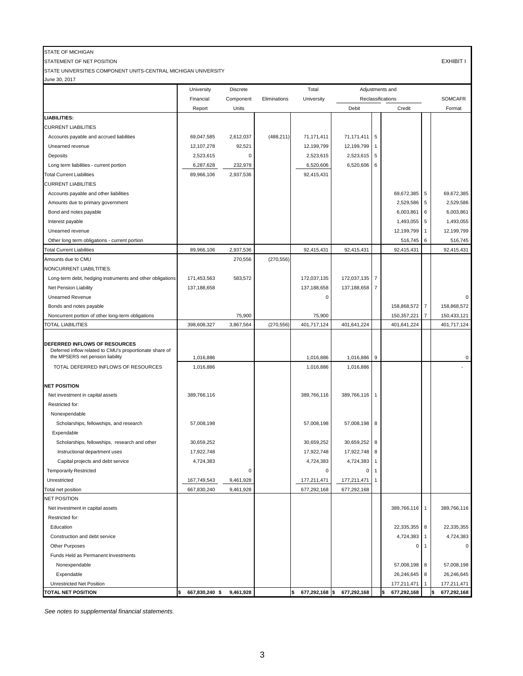## STATE OF MICHIGAN

STATEMENT OF NET POSITION EXHIBIT I

STATE UNIVERSITIES COMPONENT UNITS-CENTRAL MICHIGAN UNIVERSITY

June 30, 2017

|                                                                                                 | University                      | Discrete  |              | Total                | Adjustments and |            |                    |                |                            |
|-------------------------------------------------------------------------------------------------|---------------------------------|-----------|--------------|----------------------|-----------------|------------|--------------------|----------------|----------------------------|
|                                                                                                 | Financial                       | Component | Eliminations | University           |                 |            | Reclassifications  |                | <b>SOMCAFR</b>             |
|                                                                                                 | Report                          | Units     |              |                      | Debit           |            | Credit             |                | Format                     |
| LIABILITIES:                                                                                    |                                 |           |              |                      |                 |            |                    |                |                            |
| <b>CURRENT LIABILITIES</b>                                                                      |                                 |           |              |                      |                 |            |                    |                |                            |
| Accounts payable and accrued liabilities                                                        | 69,047,585                      | 2,612,037 | (488, 211)   | 71,171,411           | 71,171,411      | $\sqrt{5}$ |                    |                |                            |
| Unearned revenue                                                                                | 12,107,278                      | 92,521    |              | 12,199,799           | 12,199,799      |            |                    |                |                            |
| Deposits                                                                                        | 2,523,615                       | 0         |              | 2,523,615            | 2,523,615       | 5          |                    |                |                            |
| Long term liabilities - current portion                                                         | 6,287,628                       | 232,978   |              | 6,520,606            | 6,520,606 6     |            |                    |                |                            |
| <b>Total Current Liabilities</b>                                                                | 89,966,106                      | 2,937,536 |              | 92,415,431           |                 |            |                    |                |                            |
| <b>CURRENT LIABILITIES</b>                                                                      |                                 |           |              |                      |                 |            |                    |                |                            |
| Accounts payable and other liabilities                                                          |                                 |           |              |                      |                 |            | 69,672,385 5       |                | 69,672,385                 |
| Amounts due to primary government                                                               |                                 |           |              |                      |                 |            | 2,529,586 5        |                | 2,529,586                  |
| Bond and notes payable                                                                          |                                 |           |              |                      |                 |            | 6,003,861          | 6              | 6,003,861                  |
| Interest payable                                                                                |                                 |           |              |                      |                 |            | 1,493,055          | 5              | 1,493,055                  |
| Unearned revenue                                                                                |                                 |           |              |                      |                 |            | 12,199,799         | $\mathbf{1}$   | 12,199,799                 |
| Other long term obligations - current portion                                                   |                                 |           |              |                      |                 |            | 516,745            | 6              | 516,745                    |
| <b>Total Current Liabilities</b>                                                                | 89,966,106                      | 2,937,536 |              | 92,415,431           | 92,415,431      |            | 92,415,431         |                | 92,415,431                 |
| Amounts due to CMU                                                                              |                                 | 270,556   | (270, 556)   |                      |                 |            |                    |                |                            |
| NONCURRENT LIABILTITIES:                                                                        |                                 |           |              |                      |                 |            |                    |                |                            |
| Long-term debt, hedging instruments and other obligations                                       | 171,453,563                     | 583,572   |              | 172,037,135          | 172,037,135     | 7          |                    |                |                            |
| Net Pension Liability                                                                           | 137,188,658                     |           |              | 137,188,658          | 137,188,658     | 7          |                    |                |                            |
| <b>Unearned Revenue</b>                                                                         |                                 |           |              | 0                    |                 |            |                    |                | $\Omega$                   |
| Bonds and notes payable                                                                         |                                 |           |              |                      |                 |            | 158,868,572        | $\overline{7}$ | 158,868,572                |
|                                                                                                 |                                 | 75,900    |              | 75,900               |                 |            | 150,357,221        | $\overline{7}$ |                            |
| Noncurrent portion of other long-term obligations<br>TOTAL LIABILITIES                          | 398,608,327                     | 3,867,564 | (270, 556)   | 401,717,124          | 401,641,224     |            | 401,641,224        |                | 150,433,121<br>401,717,124 |
|                                                                                                 |                                 |           |              |                      |                 |            |                    |                |                            |
| <b>DEFERRED INFLOWS OF RESOURCES</b><br>Deferred inflow related to CMU's proportionate share of |                                 |           |              |                      |                 |            |                    |                |                            |
| the MPSERS net pension liability                                                                | 1,016,886                       |           |              | 1,016,886            | 1,016,886 9     |            |                    |                | 0                          |
| TOTAL DEFERRED INFLOWS OF RESOURCES                                                             | 1,016,886                       |           |              | 1,016,886            | 1,016,886       |            |                    |                |                            |
| <b>NET POSITION</b>                                                                             |                                 |           |              |                      |                 |            |                    |                |                            |
| Net investment in capital assets                                                                | 389,766,116                     |           |              | 389,766,116          | 389,766,116     |            |                    |                |                            |
| Restricted for:                                                                                 |                                 |           |              |                      |                 |            |                    |                |                            |
| Nonexpendable                                                                                   |                                 |           |              |                      |                 |            |                    |                |                            |
| Scholarships, fellowships, and research                                                         | 57,008,198                      |           |              | 57,008,198           | 57,008,198 8    |            |                    |                |                            |
| Expendable                                                                                      |                                 |           |              |                      |                 |            |                    |                |                            |
| Scholarships, fellowships, research and other                                                   | 30,659,252                      |           |              | 30,659,252           | 30,659,252 8    |            |                    |                |                            |
| Instructional department uses                                                                   | 17,922,748                      |           |              | 17,922,748           | 17,922,748      | 8          |                    |                |                            |
| Capital projects and debt service                                                               | 4,724,383                       |           |              | 4,724,383            | 4,724,383       |            |                    |                |                            |
| <b>Temporarily Restricted</b>                                                                   |                                 | 0         |              | 0                    | 0               |            |                    |                |                            |
| Unrestricted                                                                                    | 167,749,543                     | 9,461,928 |              | 177,211,471          | 177,211,471     |            |                    |                |                            |
| Total net position                                                                              | 667,830,240                     | 9,461,928 |              | 677,292,168          | 677,292,168     |            |                    |                |                            |
| NET POSITION                                                                                    |                                 |           |              |                      |                 |            |                    |                |                            |
| Net investment in capital assets                                                                |                                 |           |              |                      |                 |            | 389,766,116 1      |                | 389,766,116                |
| Restricted for:                                                                                 |                                 |           |              |                      |                 |            |                    |                |                            |
| Education                                                                                       |                                 |           |              |                      |                 |            | 22,335,355 8       |                | 22,335,355                 |
| Construction and debt service                                                                   |                                 |           |              |                      |                 |            | 4,724,383 1        |                | 4,724,383                  |
| Other Purposes                                                                                  |                                 |           |              |                      |                 |            | $\Omega$           | $\mathbf 1$    | $\Omega$                   |
| Funds Held as Permanent Investments                                                             |                                 |           |              |                      |                 |            |                    |                |                            |
| Nonexpendable                                                                                   |                                 |           |              |                      |                 |            | 57,008,198 8       |                | 57,008,198                 |
| Expendable                                                                                      |                                 |           |              |                      |                 |            | 26,246,645 8       |                | 26,246,645                 |
| <b>Unrestricted Net Position</b>                                                                |                                 |           |              |                      |                 |            | 177,211,471        | $\mathbf{1}$   | 177,211,471                |
| <b>TOTAL NET POSITION</b>                                                                       | 667,830,240 \$ 9,461,928<br>l\$ |           |              | \$<br>677,292,168 \$ | 677,292,168     |            | 677,292,168<br>l\$ |                | 677,292,168                |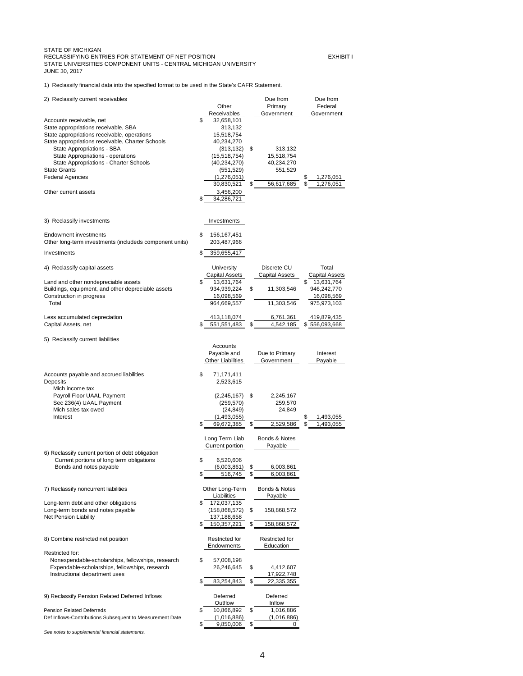# STATE OF MICHIGAN RECLASSIFYING ENTRIES FOR STATEMENT OF NET POSITION **EXHIBIT I** STATE UNIVERSITIES COMPONENT UNITS - CENTRAL MICHIGAN UNIVERSITY JUNE 30, 2017

1) Reclassify financial data into the specified format to be used in the State's CAFR Statement.

| 2) Reclassify current receivables                       | Other                     |                | Due from<br>Primary   | Due from<br>Federal   |
|---------------------------------------------------------|---------------------------|----------------|-----------------------|-----------------------|
|                                                         | Receivables               |                | Government            | Government            |
| Accounts receivable, net                                | \$<br>32,658,101          |                |                       |                       |
| State appropriations receivable, SBA                    | 313,132                   |                |                       |                       |
| State appropriations receivable, operations             | 15,518,754                |                |                       |                       |
| State appropriations receivable, Charter Schools        | 40,234,270                |                |                       |                       |
| <b>State Appropriations - SBA</b>                       | (313, 132)                | \$             | 313,132               |                       |
| <b>State Appropriations - operations</b>                | (15,518,754)              |                | 15,518,754            |                       |
| <b>State Appropriations - Charter Schools</b>           | (40, 234, 270)            |                | 40,234,270            |                       |
| <b>State Grants</b>                                     | (551, 529)                |                | 551,529               |                       |
| <b>Federal Agencies</b>                                 | (1,276,051)               |                |                       | \$<br>1,276,051       |
|                                                         | 30,830,521                | \$             | 56,617,685            | \$<br>1,276,051       |
| Other current assets                                    | 3,456,200                 |                |                       |                       |
|                                                         | \$<br>34,286,721          |                |                       |                       |
| 3) Reclassify investments                               | Investments               |                |                       |                       |
| <b>Endowment investments</b>                            | \$<br>156,167,451         |                |                       |                       |
| Other long-term investments (includeds component units) | 203,487,966               |                |                       |                       |
| Investments                                             | \$<br>359,655,417         |                |                       |                       |
| 4) Reclassify capital assets                            | <b>University</b>         |                | Discrete CU           | Total                 |
|                                                         | <b>Capital Assets</b>     |                | <b>Capital Assets</b> | <b>Capital Assets</b> |
| Land and other nondepreciable assets                    | \$<br>13,631,764          |                |                       | 13,631,764<br>\$      |
| Buildings, equipment, and other depreciable assets      | 934,939,224               | \$             | 11,303,546            | 946,242,770           |
| Construction in progress                                | 16,098,569                |                |                       | 16,098,569            |
| Total                                                   | 964,669,557               |                | 11,303,546            | 975,973,103           |
| Less accumulated depreciation                           | 413,118,074               |                | 6,761,361             | 419,879,435           |
| Capital Assets, net                                     | \$<br>551,551,483         | \$             | 4,542,185             | \$556,093,668         |
| 5) Reclassify current liabilities                       |                           |                |                       |                       |
|                                                         | Accounts                  |                |                       |                       |
|                                                         | Payable and               |                | Due to Primary        | Interest              |
|                                                         | <b>Other Liabilities</b>  |                | Government            | Payable               |
| Accounts payable and accrued liabilities                | \$<br>71,171,411          |                |                       |                       |
| <b>Deposits</b>                                         | 2,523,615                 |                |                       |                       |
| Mich income tax                                         |                           |                |                       |                       |
| Payroll Floor UAAL Payment<br>Sec 236(4) UAAL Payment   | (2,245,167)<br>(259, 570) | $\mathfrak{F}$ | 2,245,167<br>259,570  |                       |

Mich sales tax owed (24,849) 24,849

Interest (1,493,055) 1,493,055 (1,493,055) 1,493,055

| 6) Reclassify current portion of debt obligation |                  |           |
|--------------------------------------------------|------------------|-----------|
| Current portions of long term obligations        | 6,520,606        |           |
| Bonds and notes payable                          | $(6,003,861)$ \$ | 6,003,861 |

7) Reclassify noncurrent liabilities

Long-term debt and other obligations Long-term bonds and notes payable Net Pension Liability

8) Combine restricted net position

| \$<br>69,672,385       | \$<br>2,529,586          | \$<br>1,493,055 |
|------------------------|--------------------------|-----------------|
|                        |                          |                 |
| Long Term Liab         | <b>Bonds &amp; Notes</b> |                 |
| <b>Current portion</b> | Payable                  |                 |
|                        |                          |                 |
| \$<br>6,520,606        |                          |                 |
| (6,003,861)            | \$<br>6,003,861          |                 |
| \$<br>516,745          | \$<br>6,003,861          |                 |
|                        |                          |                 |
| Other Long-Term        | <b>Bonds &amp; Notes</b> |                 |
| Liabilities            | Payable                  |                 |
| \$<br>172,037,135      |                          |                 |
| (158, 868, 572)        | \$<br>158,868,572        |                 |
| 137,188,658            |                          |                 |
| \$<br>150,357,221      | \$<br>158,868,572        |                 |
|                        |                          |                 |
| <b>Restricted for</b>  | <b>Restricted for</b>    |                 |
| <b>Endowments</b>      | <b>Education</b>         |                 |
|                        |                          |                 |
| \$<br>57,008,198       |                          |                 |
| 26,246,645             | \$<br>4,412,607          |                 |
|                        | 17,922,748               |                 |
| \$<br>83,254,843       | \$<br>22,335,355         |                 |
|                        |                          |                 |
| <b>Deferred</b>        | <b>Deferred</b>          |                 |
| Outflow                | Inflow                   |                 |
| \$<br>10,866,892       | \$<br>1,016,886          |                 |
| (1,016,886)            | (1,016,886)              |                 |
| \$<br>9,850,006        | \$<br>0                  |                 |
|                        |                          |                 |

## Restricted for:

Nonexpendable-scholarships, fellowships, research Expendable-scholarships, fellowships, research Instructional department uses

9) Reclassify Pension Related Deferred Inflows

Pension Related Deferreds Def Inflows-Contributions Subsequent to Measurement Date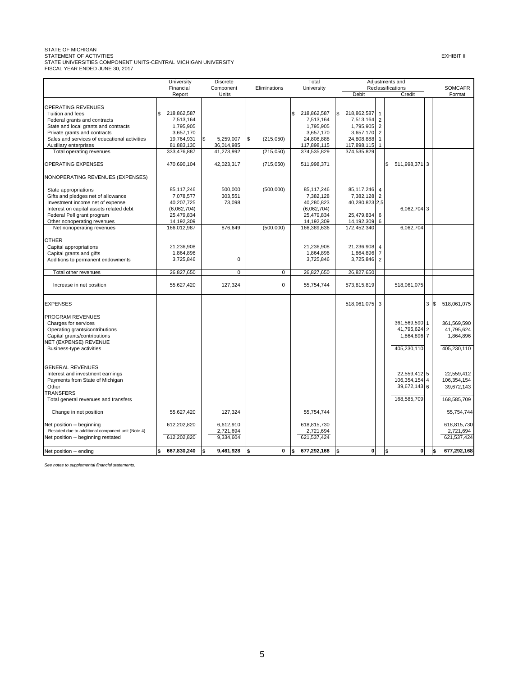STATE OF MICHIGAN<br>STATEMENT OF ACTIVITIES<br>STATE UNIVERSITIES COMPONENT UNITS-CENTRAL MICHIGAN UNIVERSITY<br>FISCAL YEAR ENDED JUNE 30, 2017

|                                                    | University        | <b>Discrete</b> |                        | Total             | Adjustments and   |                |                   |   |                    |
|----------------------------------------------------|-------------------|-----------------|------------------------|-------------------|-------------------|----------------|-------------------|---|--------------------|
|                                                    | Financial         | Component       | Eliminations           | University        |                   |                | Reclassifications |   | <b>SOMCAFR</b>     |
|                                                    | Report            | Units           |                        |                   | Debit             |                | Credit            |   | Format             |
|                                                    |                   |                 |                        |                   |                   |                |                   |   |                    |
| OPERATING REVENUES                                 |                   |                 |                        |                   |                   |                |                   |   |                    |
| Tuition and fees                                   | 218,862,587<br>\$ |                 |                        | \$<br>218,862,587 | \$<br>218,862,587 | $\mathbf{1}$   |                   |   |                    |
| Federal grants and contracts                       | 7,513,164         |                 |                        | 7,513,164         | 7,513,164         | $\overline{2}$ |                   |   |                    |
| State and local grants and contracts               | 1,795,905         |                 |                        | 1,795,905         | 1,795,905         | $\overline{2}$ |                   |   |                    |
| Private grants and contracts                       | 3,657,170         |                 |                        | 3,657,170         | 3,657,170         | $\overline{2}$ |                   |   |                    |
| Sales and services of educational activities       | 19,764,931        | \$<br>5,259,007 | <b>\$</b><br>(215,050) | 24,808,888        | 24,808,888        | $\mathbf{1}$   |                   |   |                    |
| Auxiliary enterprises                              | 81,883,130        | 36,014,985      |                        | 117,898,115       | 117,898,115       | $\mathbf{1}$   |                   |   |                    |
| Total operating revenues                           | 333.476.887       | 41.273.992      | (215,050)              | 374,535,829       | 374,535,829       |                |                   |   |                    |
| OPERATING EXPENSES                                 | 470,690,104       | 42,023,317      | (715,050)              | 511,998,371       |                   | \$             | 511,998,371 3     |   |                    |
| NONOPERATING REVENUES (EXPENSES)                   |                   |                 |                        |                   |                   |                |                   |   |                    |
| State appropriations                               | 85, 117, 246      | 500,000         | (500,000)              | 85, 117, 246      | 85,117,246        | $\overline{4}$ |                   |   |                    |
| Gifts and pledges net of allowance                 | 7,078,577         | 303,551         |                        | 7,382,128         | 7,382,128         | $\overline{2}$ |                   |   |                    |
| Investment income net of expense                   | 40,207,725        | 73,098          |                        | 40,280,823        | 40,280,823 2,5    |                |                   |   |                    |
| Interest on capital assets related debt            | (6,062,704)       |                 |                        | (6,062,704)       |                   |                | 6,062,704 3       |   |                    |
| Federal Pell grant program                         | 25,479,834        |                 |                        | 25,479,834        | 25,479,834        | 6              |                   |   |                    |
| Other nonoperating revenues                        | 14,192,309        |                 |                        | 14,192,309        | 14,192,309        | 6              |                   |   |                    |
| Net nonoperating revenues                          | 166,012,987       | 876.649         | (500,000)              | 166,389,636       | 172,452,340       |                | 6,062,704         |   |                    |
|                                                    |                   |                 |                        |                   |                   |                |                   |   |                    |
| <b>OTHER</b>                                       |                   |                 |                        |                   |                   |                |                   |   |                    |
| Capital appropriations                             | 21,236,908        |                 |                        | 21,236,908        | 21,236,908        | $\overline{4}$ |                   |   |                    |
| Capital grants and gifts                           | 1,864,896         |                 |                        | 1,864,896         | 1,864,896         | $\overline{7}$ |                   |   |                    |
| Additions to permanent endowments                  | 3,725,846         | $\Omega$        |                        | 3,725,846         | 3,725,846         | $\overline{2}$ |                   |   |                    |
| Total other revenues                               | 26,827,650        | $\mathbf 0$     | 0                      | 26,827,650        | 26,827,650        |                |                   |   |                    |
| Increase in net position                           | 55,627,420        | 127,324         | $\mathbf 0$            | 55,754,744        | 573,815,819       |                | 518,061,075       |   |                    |
|                                                    |                   |                 |                        |                   |                   |                |                   |   |                    |
| <b>EXPENSES</b>                                    |                   |                 |                        |                   | 518,061,075 3     |                |                   | 3 | 518,061,075<br>Ι\$ |
| PROGRAM REVENUES                                   |                   |                 |                        |                   |                   |                |                   |   |                    |
| Charges for services                               |                   |                 |                        |                   |                   |                | 361,569,590 1     |   | 361,569,590        |
| Operating grants/contributions                     |                   |                 |                        |                   |                   |                | 41,795,624 2      |   | 41,795,624         |
| Capital grants/contributions                       |                   |                 |                        |                   |                   |                | 1,864,896 7       |   | 1,864,896          |
| <b>NET (EXPENSE) REVENUE</b>                       |                   |                 |                        |                   |                   |                |                   |   |                    |
| Business-type activities                           |                   |                 |                        |                   |                   |                | 405,230,110       |   | 405,230,110        |
|                                                    |                   |                 |                        |                   |                   |                |                   |   |                    |
| <b>GENERAL REVENUES</b>                            |                   |                 |                        |                   |                   |                |                   |   |                    |
| Interest and investment earnings                   |                   |                 |                        |                   |                   |                | 22,559,412 5      |   | 22,559,412         |
| Payments from State of Michigan                    |                   |                 |                        |                   |                   |                | 106,354,154 4     |   | 106,354,154        |
| Other                                              |                   |                 |                        |                   |                   |                | 39,672,143 6      |   | 39,672,143         |
| <b>TRANSFERS</b>                                   |                   |                 |                        |                   |                   |                |                   |   |                    |
| Total general revenues and transfers               |                   |                 |                        |                   |                   |                | 168,585,709       |   | 168,585,709        |
| Change in net position                             | 55,627,420        | 127,324         |                        | 55,754,744        |                   |                |                   |   | 55,754,744         |
| Net position -- beginning                          | 612,202,820       | 6,612,910       |                        | 618,815,730       |                   |                |                   |   | 618,815,730        |
| Restated due to additional component unit (Note 4) |                   | 2,721,694       |                        | 2,721,694         |                   |                |                   |   | 2,721,694          |
| Net position -- beginning restated                 | 612,202,820       | 9,334,604       |                        | 621,537,424       |                   |                |                   |   | 621,537,424        |
| Net position -- ending                             | 667,830,240       | 9,461,928       | $\bf{0}$<br>\$         | 677,292,168       | $\mathbf 0$<br>\$ | \$             | 0                 |   | 677,292,168        |
|                                                    |                   |                 |                        |                   |                   |                |                   |   |                    |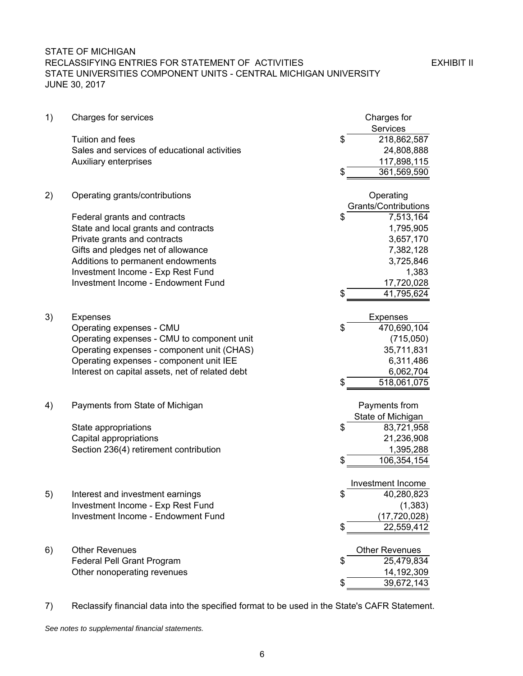## STATE OF MICHIGAN RECLASSIFYING ENTRIES FOR STATEMENT OF ACTIVITIES **EXHIBIT II** STATE UNIVERSITIES COMPONENT UNITS - CENTRAL MICHIGAN UNIVERSITY JUNE 30, 2017

| 1) | Charges for services                                      | Charges for                    |
|----|-----------------------------------------------------------|--------------------------------|
|    |                                                           | Services                       |
|    | Tuition and fees                                          | \$<br>218,862,587              |
|    | Sales and services of educational activities              | 24,808,888                     |
|    | Auxiliary enterprises                                     | 117,898,115                    |
|    |                                                           | 361,569,590<br>\$              |
|    | Operating grants/contributions                            | Operating                      |
| 2) |                                                           | <b>Grants/Contributions</b>    |
|    | Federal grants and contracts                              | \$<br>7,513,164                |
|    | State and local grants and contracts                      | 1,795,905                      |
|    | Private grants and contracts                              | 3,657,170                      |
|    | Gifts and pledges net of allowance                        | 7,382,128                      |
|    | Additions to permanent endowments                         | 3,725,846                      |
|    | Investment Income - Exp Rest Fund                         | 1,383                          |
|    | <b>Investment Income - Endowment Fund</b>                 | 17,720,028                     |
|    |                                                           | 41,795,624                     |
|    |                                                           |                                |
| 3) | <b>Expenses</b>                                           | <b>Expenses</b>                |
|    | Operating expenses - CMU                                  | \$<br>470,690,104              |
|    | Operating expenses - CMU to component unit                | (715,050)                      |
|    | Operating expenses - component unit (CHAS)                | 35,711,831                     |
|    | Operating expenses - component unit IEE                   | 6,311,486                      |
|    | Interest on capital assets, net of related debt           | 6,062,704                      |
|    |                                                           | 518,061,075<br>\$              |
| 4) | Payments from State of Michigan                           | Payments from                  |
|    |                                                           | State of Michigan              |
|    | State appropriations                                      | \$<br>83,721,958               |
|    | Capital appropriations                                    | 21,236,908                     |
|    | Section 236(4) retirement contribution                    | 1,395,288                      |
|    |                                                           | S<br>106,354,154               |
|    |                                                           | Investment Income              |
| 5) | Interest and investment earnings                          | \$<br>40,280,823               |
|    | Investment Income - Exp Rest Fund                         | (1, 383)                       |
|    | <b>Investment Income - Endowment Fund</b>                 | (17, 720, 028)                 |
|    |                                                           | \$<br>22,559,412               |
|    | <b>Other Revenues</b>                                     | <b>Other Revenues</b>          |
| 6) |                                                           | \$<br>25,479,834               |
|    | Federal Pell Grant Program<br>Other nonoperating revenues |                                |
|    |                                                           | 14,192,309<br>\$<br>39,672,143 |
|    |                                                           |                                |

7) Reclassify financial data into the specified format to be used in the State's CAFR Statement.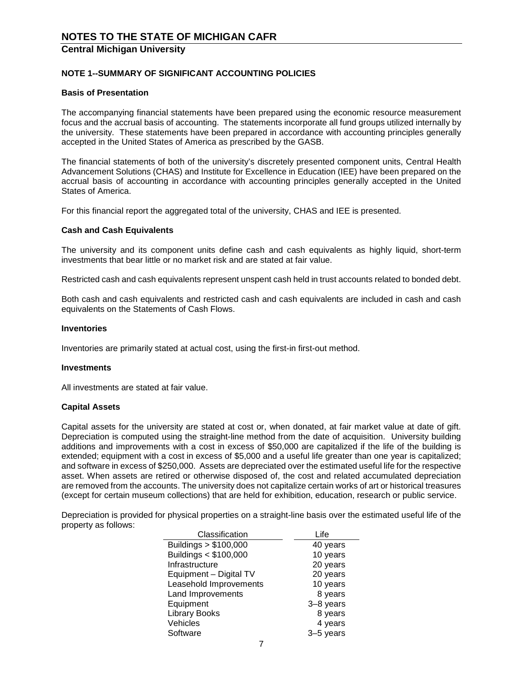#### **NOTE 1--SUMMARY OF SIGNIFICANT ACCOUNTING POLICIES**

#### **Basis of Presentation**

The accompanying financial statements have been prepared using the economic resource measurement focus and the accrual basis of accounting. The statements incorporate all fund groups utilized internally by the university. These statements have been prepared in accordance with accounting principles generally accepted in the United States of America as prescribed by the GASB.

The financial statements of both of the university's discretely presented component units, Central Health Advancement Solutions (CHAS) and Institute for Excellence in Education (IEE) have been prepared on the accrual basis of accounting in accordance with accounting principles generally accepted in the United States of America.

For this financial report the aggregated total of the university, CHAS and IEE is presented.

#### **Cash and Cash Equivalents**

The university and its component units define cash and cash equivalents as highly liquid, short-term investments that bear little or no market risk and are stated at fair value.

Restricted cash and cash equivalents represent unspent cash held in trust accounts related to bonded debt.

Both cash and cash equivalents and restricted cash and cash equivalents are included in cash and cash equivalents on the Statements of Cash Flows.

#### **Inventories**

Inventories are primarily stated at actual cost, using the first-in first-out method.

#### **Investments**

All investments are stated at fair value.

#### **Capital Assets**

Capital assets for the university are stated at cost or, when donated, at fair market value at date of gift. Depreciation is computed using the straight-line method from the date of acquisition. University building additions and improvements with a cost in excess of \$50,000 are capitalized if the life of the building is extended; equipment with a cost in excess of \$5,000 and a useful life greater than one year is capitalized; and software in excess of \$250,000. Assets are depreciated over the estimated useful life for the respective asset. When assets are retired or otherwise disposed of, the cost and related accumulated depreciation are removed from the accounts. The university does not capitalize certain works of art or historical treasures (except for certain museum collections) that are held for exhibition, education, research or public service.

Depreciation is provided for physical properties on a straight-line basis over the estimated useful life of the property as follows:

| Classification         | Life      |
|------------------------|-----------|
| Buildings > \$100,000  | 40 years  |
| Buildings < \$100,000  | 10 years  |
| Infrastructure         | 20 years  |
| Equipment - Digital TV | 20 years  |
| Leasehold Improvements | 10 years  |
| Land Improvements      | 8 years   |
| Equipment              | 3-8 years |
| <b>Library Books</b>   | 8 years   |
| Vehicles               | 4 years   |
| Software               | 3-5 years |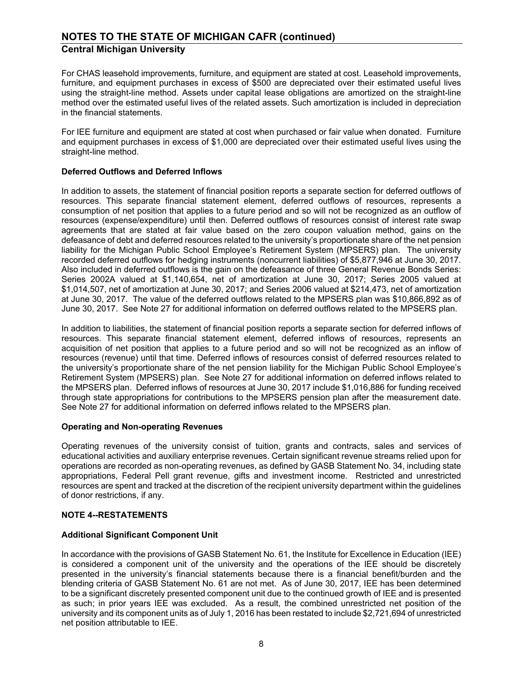For CHAS leasehold improvements, furniture, and equipment are stated at cost. Leasehold improvements, furniture, and equipment purchases in excess of \$500 are depreciated over their estimated useful lives using the straight-line method. Assets under capital lease obligations are amortized on the straight-line method over the estimated useful lives of the related assets. Such amortization is included in depreciation in the financial statements.

For IEE furniture and equipment are stated at cost when purchased or fair value when donated. Furniture and equipment purchases in excess of \$1,000 are depreciated over their estimated useful lives using the straight-line method.

#### **Deferred Outflows and Deferred Inflows**

In addition to assets, the statement of financial position reports a separate section for deferred outflows of resources. This separate financial statement element, deferred outflows of resources, represents a consumption of net position that applies to a future period and so will not be recognized as an outflow of resources (expense/expenditure) until then. Deferred outflows of resources consist of interest rate swap agreements that are stated at fair value based on the zero coupon valuation method, gains on the defeasance of debt and deferred resources related to the university's proportionate share of the net pension liability for the Michigan Public School Employee's Retirement System (MPSERS) plan. The university recorded deferred outflows for hedging instruments (noncurrent liabilities) of \$5,877,946 at June 30, 2017. Also included in deferred outflows is the gain on the defeasance of three General Revenue Bonds Series: Series 2002A valued at \$1,140,654, net of amortization at June 30, 2017; Series 2005 valued at \$1,014,507, net of amortization at June 30, 2017; and Series 2006 valued at \$214,473, net of amortization at June 30, 2017. The value of the deferred outflows related to the MPSERS plan was \$10,866,892 as of June 30, 2017. See Note 27 for additional information on deferred outflows related to the MPSERS plan.

In addition to liabilities, the statement of financial position reports a separate section for deferred inflows of resources. This separate financial statement element, deferred inflows of resources, represents an acquisition of net position that applies to a future period and so will not be recognized as an inflow of resources (revenue) until that time. Deferred inflows of resources consist of deferred resources related to the university's proportionate share of the net pension liability for the Michigan Public School Employee's Retirement System (MPSERS) plan. See Note 27 for additional information on deferred inflows related to the MPSERS plan. Deferred inflows of resources at June 30, 2017 include \$1,016,886 for funding received through state appropriations for contributions to the MPSERS pension plan after the measurement date. See Note 27 for additional information on deferred inflows related to the MPSERS plan.

#### **Operating and Non-operating Revenues**

Operating revenues of the university consist of tuition, grants and contracts, sales and services of educational activities and auxiliary enterprise revenues. Certain significant revenue streams relied upon for operations are recorded as non-operating revenues, as defined by GASB Statement No. 34, including state appropriations, Federal Pell grant revenue, gifts and investment income. Restricted and unrestricted resources are spent and tracked at the discretion of the recipient university department within the guidelines of donor restrictions, if any.

#### **NOTE 4--RESTATEMENTS**

#### **Additional Significant Component Unit**

In accordance with the provisions of GASB Statement No. 61, the Institute for Excellence in Education (IEE) is considered a component unit of the university and the operations of the IEE should be discretely presented in the university's financial statements because there is a financial benefit/burden and the blending criteria of GASB Statement No. 61 are not met. As of June 30, 2017, IEE has been determined to be a significant discretely presented component unit due to the continued growth of IEE and is presented as such; in prior years IEE was excluded. As a result, the combined unrestricted net position of the university and its component units as of July 1, 2016 has been restated to include \$2,721,694 of unrestricted net position attributable to IEE.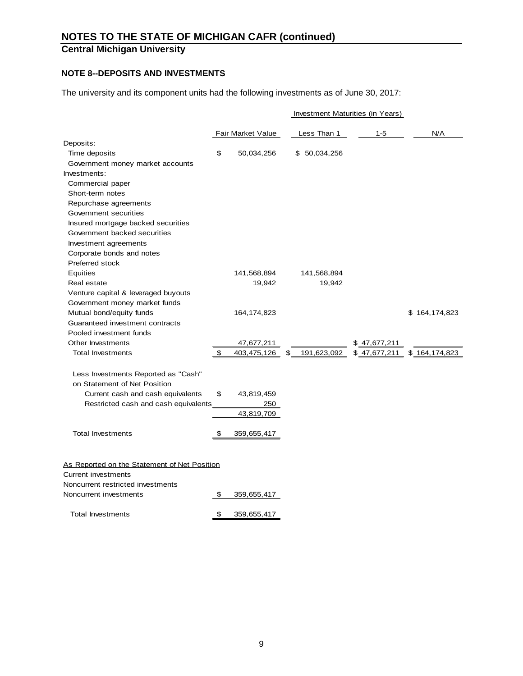## **NOTE 8--DEPOSITS AND INVESTMENTS**

The university and its component units had the following investments as of June 30, 2017:

|                                              |                   |                   | Investment Maturities (in Years) |                 |
|----------------------------------------------|-------------------|-------------------|----------------------------------|-----------------|
|                                              | Fair Market Value | Less Than 1       | 1-5                              | N/A             |
| Deposits:                                    |                   |                   |                                  |                 |
| Time deposits                                | \$<br>50,034,256  | 50,034,256<br>S.  |                                  |                 |
| Government money market accounts             |                   |                   |                                  |                 |
| Investments:                                 |                   |                   |                                  |                 |
| Commercial paper                             |                   |                   |                                  |                 |
| Short-term notes                             |                   |                   |                                  |                 |
| Repurchase agreements                        |                   |                   |                                  |                 |
| Government securities                        |                   |                   |                                  |                 |
| Insured mortgage backed securities           |                   |                   |                                  |                 |
| Government backed securities                 |                   |                   |                                  |                 |
| Investment agreements                        |                   |                   |                                  |                 |
| Corporate bonds and notes                    |                   |                   |                                  |                 |
| Preferred stock                              |                   |                   |                                  |                 |
| Equities                                     | 141,568,894       | 141,568,894       |                                  |                 |
| Real estate                                  | 19,942            | 19,942            |                                  |                 |
| Venture capital & leveraged buyouts          |                   |                   |                                  |                 |
| Government money market funds                |                   |                   |                                  |                 |
| Mutual bond/equity funds                     | 164, 174, 823     |                   |                                  | \$164,174,823   |
| Guaranteed investment contracts              |                   |                   |                                  |                 |
| Pooled investment funds                      |                   |                   |                                  |                 |
| Other Investments                            | 47,677,211        |                   | \$47,677,211                     |                 |
| <b>Total Investments</b>                     | \$<br>403,475,126 | \$<br>191,623,092 | \$47,677,211                     | \$164, 174, 823 |
| Less Investments Reported as "Cash"          |                   |                   |                                  |                 |
| on Statement of Net Position                 |                   |                   |                                  |                 |
| Current cash and cash equivalents            | \$<br>43,819,459  |                   |                                  |                 |
| Restricted cash and cash equivalents         | 250               |                   |                                  |                 |
|                                              | 43,819,709        |                   |                                  |                 |
| <b>Total Investments</b>                     | \$<br>359,655,417 |                   |                                  |                 |
|                                              |                   |                   |                                  |                 |
| As Reported on the Statement of Net Position |                   |                   |                                  |                 |
| Current investments                          |                   |                   |                                  |                 |
| Noncurrent restricted investments            |                   |                   |                                  |                 |
| Noncurrent investments                       | \$<br>359,655,417 |                   |                                  |                 |
| <b>Total Investments</b>                     | \$<br>359,655,417 |                   |                                  |                 |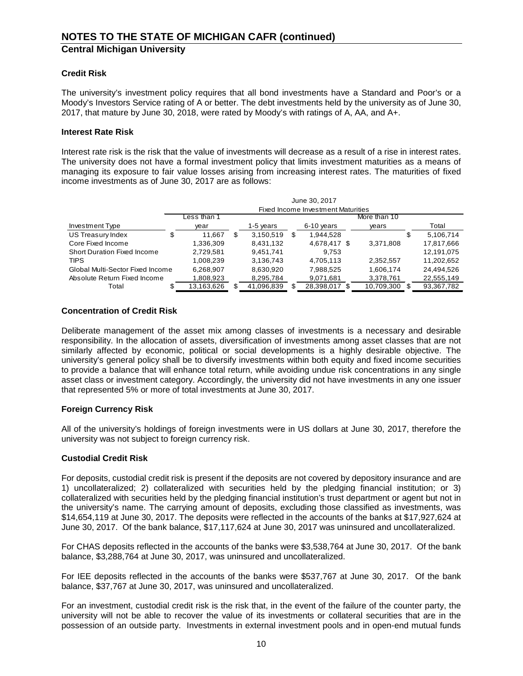## **Credit Risk**

The university's investment policy requires that all bond investments have a Standard and Poor's or a Moody's Investors Service rating of A or better. The debt investments held by the university as of June 30, 2017, that mature by June 30, 2018, were rated by Moody's with ratings of A, AA, and A+.

#### **Interest Rate Risk**

Interest rate risk is the risk that the value of investments will decrease as a result of a rise in interest rates. The university does not have a formal investment policy that limits investment maturities as a means of managing its exposure to fair value losses arising from increasing interest rates. The maturities of fixed income investments as of June 30, 2017 are as follows:

|                                  |   | June 30, 2017                      |   |            |   |              |  |              |    |            |  |  |
|----------------------------------|---|------------------------------------|---|------------|---|--------------|--|--------------|----|------------|--|--|
|                                  |   | Fixed Income Investment Maturities |   |            |   |              |  |              |    |            |  |  |
|                                  |   | ess than 1.                        |   |            |   |              |  | More than 10 |    |            |  |  |
| Investment Type                  |   | vear                               |   | 1-5 years  |   | 6-10 years   |  | years        |    | Total      |  |  |
| US Treasury Index                | S | 11.667                             | S | 3,150,519  | S | 1.944.528    |  |              | \$ | 5,106,714  |  |  |
| Core Fixed Income                |   | 1,336,309                          |   | 8,431,132  |   | 4,678,417 \$ |  | 3,371,808    |    | 17,817,666 |  |  |
| Short Duration Fixed Income      |   | 2,729,581                          |   | 9,451,741  |   | 9,753        |  |              |    | 12,191,075 |  |  |
| <b>TIPS</b>                      |   | 1,008,239                          |   | 3,136,743  |   | 4,705,113    |  | 2,352,557    |    | 11,202,652 |  |  |
| Global Multi-Sector Fixed Income |   | 6,268,907                          |   | 8,630,920  |   | 7,988,525    |  | 1,606,174    |    | 24,494,526 |  |  |
| Absolute Return Fixed Income     |   | 1,808,923                          |   | 8,295,784  |   | 9,071,681    |  | 3,378,761    |    | 22,555,149 |  |  |
| Total                            |   | 13,163,626                         |   | 41,096,839 |   | 28,398,017   |  | 10,709,300   |    | 93,367,782 |  |  |

#### **Concentration of Credit Risk**

Deliberate management of the asset mix among classes of investments is a necessary and desirable responsibility. In the allocation of assets, diversification of investments among asset classes that are not similarly affected by economic, political or social developments is a highly desirable objective. The university's general policy shall be to diversify investments within both equity and fixed income securities to provide a balance that will enhance total return, while avoiding undue risk concentrations in any single asset class or investment category. Accordingly, the university did not have investments in any one issuer that represented 5% or more of total investments at June 30, 2017.

#### **Foreign Currency Risk**

All of the university's holdings of foreign investments were in US dollars at June 30, 2017, therefore the university was not subject to foreign currency risk.

#### **Custodial Credit Risk**

For deposits, custodial credit risk is present if the deposits are not covered by depository insurance and are 1) uncollateralized; 2) collateralized with securities held by the pledging financial institution; or 3) collateralized with securities held by the pledging financial institution's trust department or agent but not in the university's name. The carrying amount of deposits, excluding those classified as investments, was \$14,654,119 at June 30, 2017. The deposits were reflected in the accounts of the banks at \$17,927,624 at June 30, 2017. Of the bank balance, \$17,117,624 at June 30, 2017 was uninsured and uncollateralized.

For CHAS deposits reflected in the accounts of the banks were \$3,538,764 at June 30, 2017. Of the bank balance, \$3,288,764 at June 30, 2017, was uninsured and uncollateralized.

For IEE deposits reflected in the accounts of the banks were \$537,767 at June 30, 2017. Of the bank balance, \$37,767 at June 30, 2017, was uninsured and uncollateralized.

For an investment, custodial credit risk is the risk that, in the event of the failure of the counter party, the university will not be able to recover the value of its investments or collateral securities that are in the possession of an outside party. Investments in external investment pools and in open-end mutual funds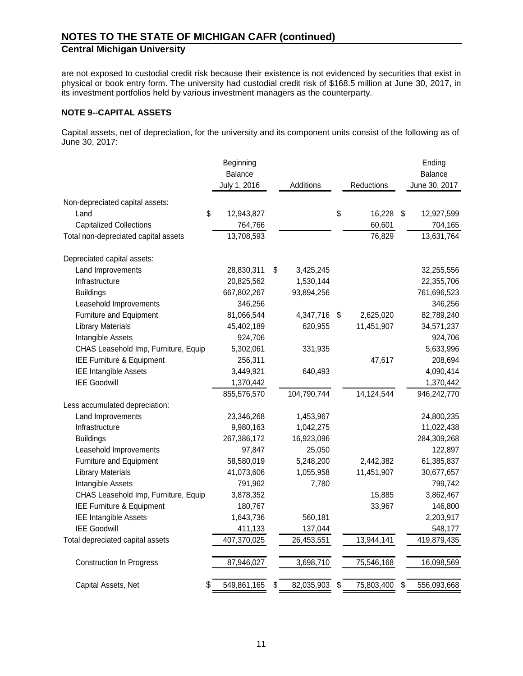are not exposed to custodial credit risk because their existence is not evidenced by securities that exist in physical or book entry form. The university had custodial credit risk of \$168.5 million at June 30, 2017, in its investment portfolios held by various investment managers as the counterparty.

#### **NOTE 9--CAPITAL ASSETS**

Capital assets, net of depreciation, for the university and its component units consist of the following as of June 30, 2017:

|                                      | Beginning      |                  |                  | Ending            |
|--------------------------------------|----------------|------------------|------------------|-------------------|
|                                      | <b>Balance</b> |                  |                  | Balance           |
|                                      | July 1, 2016   | Additions        | Reductions       | June 30, 2017     |
| Non-depreciated capital assets:      |                |                  |                  |                   |
| \$<br>Land                           | 12,943,827     |                  | \$<br>16,228     | \$<br>12,927,599  |
| <b>Capitalized Collections</b>       | 764,766        |                  | 60,601           | 704,165           |
| Total non-depreciated capital assets | 13,708,593     |                  | 76,829           | 13,631,764        |
| Depreciated capital assets:          |                |                  |                  |                   |
| Land Improvements                    | 28,830,311     | \$<br>3,425,245  |                  | 32,255,556        |
| Infrastructure                       | 20,825,562     | 1,530,144        |                  | 22,355,706        |
| <b>Buildings</b>                     | 667,802,267    | 93,894,256       |                  | 761,696,523       |
| Leasehold Improvements               | 346,256        |                  |                  | 346,256           |
| Furniture and Equipment              | 81,066,544     | 4,347,716 \$     | 2,625,020        | 82,789,240        |
| <b>Library Materials</b>             | 45,402,189     | 620,955          | 11,451,907       | 34,571,237        |
| Intangible Assets                    | 924,706        |                  |                  | 924,706           |
| CHAS Leasehold Imp, Furniture, Equip | 5,302,061      | 331,935          |                  | 5,633,996         |
| IEE Furniture & Equipment            | 256,311        |                  | 47,617           | 208,694           |
| <b>IEE Intangible Assets</b>         | 3,449,921      | 640,493          |                  | 4,090,414         |
| <b>IEE Goodwill</b>                  | 1,370,442      |                  |                  | 1,370,442         |
|                                      | 855,576,570    | 104,790,744      | 14,124,544       | 946,242,770       |
| Less accumulated depreciation:       |                |                  |                  |                   |
| Land Improvements                    | 23,346,268     | 1,453,967        |                  | 24,800,235        |
| Infrastructure                       | 9,980,163      | 1,042,275        |                  | 11,022,438        |
| <b>Buildings</b>                     | 267,386,172    | 16,923,096       |                  | 284,309,268       |
| Leasehold Improvements               | 97,847         | 25,050           |                  | 122,897           |
| Furniture and Equipment              | 58,580,019     | 5,248,200        | 2,442,382        | 61,385,837        |
| <b>Library Materials</b>             | 41,073,606     | 1,055,958        | 11,451,907       | 30,677,657        |
| Intangible Assets                    | 791,962        | 7,780            |                  | 799,742           |
| CHAS Leasehold Imp, Furniture, Equip | 3,878,352      |                  | 15,885           | 3,862,467         |
| IEE Furniture & Equipment            | 180,767        |                  | 33,967           | 146,800           |
| <b>IEE Intangible Assets</b>         | 1,643,736      | 560,181          |                  | 2,203,917         |
| <b>IEE Goodwill</b>                  | 411,133        | 137,044          |                  | 548,177           |
| Total depreciated capital assets     | 407,370,025    | 26,453,551       | 13,944,141       | 419,879,435       |
| <b>Construction In Progress</b>      | 87,946,027     | 3,698,710        | 75,546,168       | 16,098,569        |
| Capital Assets, Net<br>S             | 549,861,165    | \$<br>82,035,903 | \$<br>75,803,400 | \$<br>556,093,668 |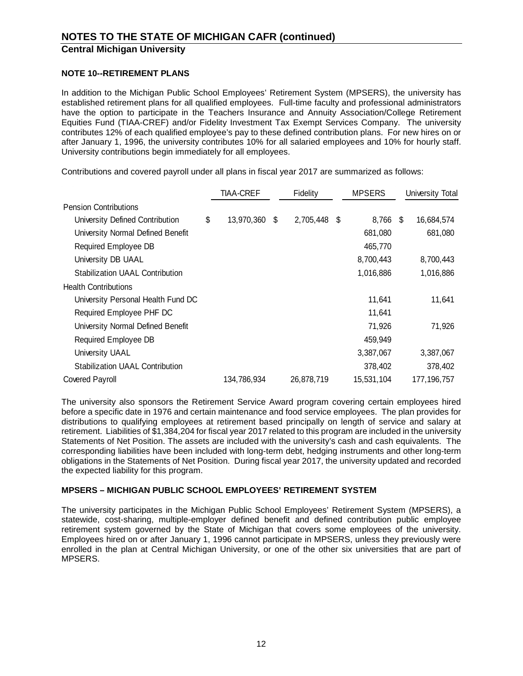#### **NOTE 10--RETIREMENT PLANS**

In addition to the Michigan Public School Employees' Retirement System (MPSERS), the university has established retirement plans for all qualified employees. Full-time faculty and professional administrators have the option to participate in the Teachers Insurance and Annuity Association/College Retirement Equities Fund (TIAA-CREF) and/or Fidelity Investment Tax Exempt Services Company. The university contributes 12% of each qualified employee's pay to these defined contribution plans. For new hires on or after January 1, 1996, the university contributes 10% for all salaried employees and 10% for hourly staff. University contributions begin immediately for all employees.

Contributions and covered payroll under all plans in fiscal year 2017 are summarized as follows:

|                                        | <b>TIAA-CREF</b> | Fidelity           | <b>MPSERS</b> |     | University Total |
|----------------------------------------|------------------|--------------------|---------------|-----|------------------|
| <b>Pension Contributions</b>           |                  |                    |               |     |                  |
| University Defined Contribution        | \$<br>13,970,360 | \$<br>2,705,448 \$ | 8,766         | -\$ | 16,684,574       |
| University Normal Defined Benefit      |                  |                    | 681,080       |     | 681,080          |
| <b>Required Employee DB</b>            |                  |                    | 465,770       |     |                  |
| University DB UAAL                     |                  |                    | 8,700,443     |     | 8,700,443        |
| <b>Stabilization UAAL Contribution</b> |                  |                    | 1,016,886     |     | 1,016,886        |
| <b>Health Contributions</b>            |                  |                    |               |     |                  |
| University Personal Health Fund DC     |                  |                    | 11,641        |     | 11,641           |
| Required Employee PHF DC               |                  |                    | 11,641        |     |                  |
| University Normal Defined Benefit      |                  |                    | 71,926        |     | 71,926           |
| Required Employee DB                   |                  |                    | 459,949       |     |                  |
| University UAAL                        |                  |                    | 3,387,067     |     | 3,387,067        |
| <b>Stabilization UAAL Contribution</b> |                  |                    | 378,402       |     | 378,402          |
| <b>Covered Payroll</b>                 | 134,786,934      | 26,878,719         | 15,531,104    |     | 177, 196, 757    |

The university also sponsors the Retirement Service Award program covering certain employees hired before a specific date in 1976 and certain maintenance and food service employees. The plan provides for distributions to qualifying employees at retirement based principally on length of service and salary at retirement. Liabilities of \$1,384,204 for fiscal year 2017 related to this program are included in the university Statements of Net Position. The assets are included with the university's cash and cash equivalents. The corresponding liabilities have been included with long-term debt, hedging instruments and other long-term obligations in the Statements of Net Position. During fiscal year 2017, the university updated and recorded the expected liability for this program.

#### **MPSERS – MICHIGAN PUBLIC SCHOOL EMPLOYEES' RETIREMENT SYSTEM**

The university participates in the Michigan Public School Employees' Retirement System (MPSERS), a statewide, cost-sharing, multiple-employer defined benefit and defined contribution public employee retirement system governed by the State of Michigan that covers some employees of the university. Employees hired on or after January 1, 1996 cannot participate in MPSERS, unless they previously were enrolled in the plan at Central Michigan University, or one of the other six universities that are part of MPSERS.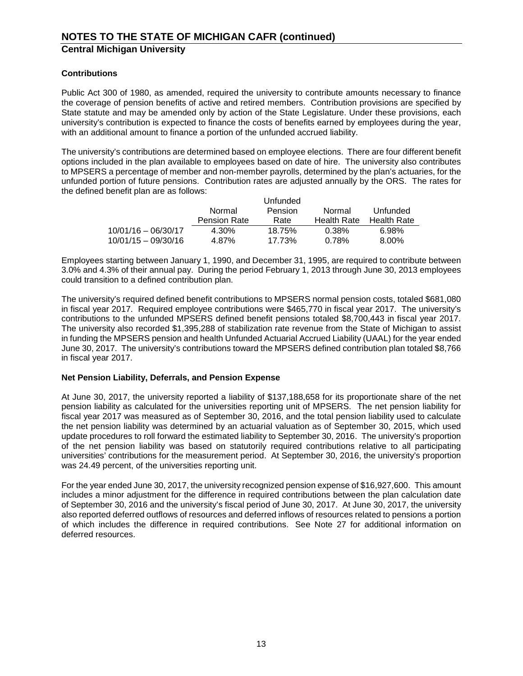## **Contributions**

Public Act 300 of 1980, as amended, required the university to contribute amounts necessary to finance the coverage of pension benefits of active and retired members. Contribution provisions are specified by State statute and may be amended only by action of the State Legislature. Under these provisions, each university's contribution is expected to finance the costs of benefits earned by employees during the year, with an additional amount to finance a portion of the unfunded accrued liability.

The university's contributions are determined based on employee elections. There are four different benefit options included in the plan available to employees based on date of hire. The university also contributes to MPSERS a percentage of member and non-member payrolls, determined by the plan's actuaries, for the unfunded portion of future pensions. Contribution rates are adjusted annually by the ORS. The rates for the defined benefit plan are as follows:

|                       |                     | Unfunded |                    |                    |
|-----------------------|---------------------|----------|--------------------|--------------------|
|                       | Normal              | Pension  | Normal             | Unfunded           |
|                       | <b>Pension Rate</b> | Rate     | <b>Health Rate</b> | <b>Health Rate</b> |
| $10/01/16 - 06/30/17$ | 4.30%               | 18.75%   | 0.38%              | 6.98%              |
| $10/01/15 - 09/30/16$ | 4.87%               | 17.73%   | 0.78%              | 8.00%              |

Employees starting between January 1, 1990, and December 31, 1995, are required to contribute between 3.0% and 4.3% of their annual pay. During the period February 1, 2013 through June 30, 2013 employees could transition to a defined contribution plan.

The university's required defined benefit contributions to MPSERS normal pension costs, totaled \$681,080 in fiscal year 2017. Required employee contributions were \$465,770 in fiscal year 2017. The university's contributions to the unfunded MPSERS defined benefit pensions totaled \$8,700,443 in fiscal year 2017. The university also recorded \$1,395,288 of stabilization rate revenue from the State of Michigan to assist in funding the MPSERS pension and health Unfunded Actuarial Accrued Liability (UAAL) for the year ended June 30, 2017. The university's contributions toward the MPSERS defined contribution plan totaled \$8,766 in fiscal year 2017.

#### **Net Pension Liability, Deferrals, and Pension Expense**

At June 30, 2017, the university reported a liability of \$137,188,658 for its proportionate share of the net pension liability as calculated for the universities reporting unit of MPSERS. The net pension liability for fiscal year 2017 was measured as of September 30, 2016, and the total pension liability used to calculate the net pension liability was determined by an actuarial valuation as of September 30, 2015, which used update procedures to roll forward the estimated liability to September 30, 2016. The university's proportion of the net pension liability was based on statutorily required contributions relative to all participating universities' contributions for the measurement period. At September 30, 2016, the university's proportion was 24.49 percent, of the universities reporting unit.

For the year ended June 30, 2017, the university recognized pension expense of \$16,927,600. This amount includes a minor adjustment for the difference in required contributions between the plan calculation date of September 30, 2016 and the university's fiscal period of June 30, 2017. At June 30, 2017, the university also reported deferred outflows of resources and deferred inflows of resources related to pensions a portion of which includes the difference in required contributions. See Note 27 for additional information on deferred resources.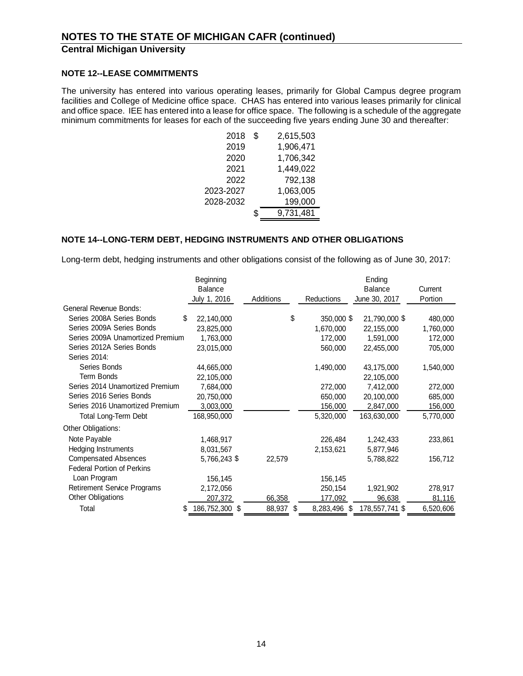#### **NOTE 12--LEASE COMMITMENTS**

The university has entered into various operating leases, primarily for Global Campus degree program facilities and College of Medicine office space. CHAS has entered into various leases primarily for clinical and office space. IEE has entered into a lease for office space. The following is a schedule of the aggregate minimum commitments for leases for each of the succeeding five years ending June 30 and thereafter:

| 2018      | \$<br>2,615,503 |
|-----------|-----------------|
| 2019      | 1,906,471       |
| 2020      | 1,706,342       |
| 2021      | 1,449,022       |
| 2022      | 792,138         |
| 2023-2027 | 1,063,005       |
| 2028-2032 | 199,000         |
|           | \$<br>9,731,481 |
|           |                 |

#### **NOTE 14--LONG-TERM DEBT, HEDGING INSTRUMENTS AND OTHER OBLIGATIONS**

Long-term debt, hedging instruments and other obligations consist of the following as of June 30, 2017:

|                                    | Beginning      |           |                    | Ending         |           |
|------------------------------------|----------------|-----------|--------------------|----------------|-----------|
|                                    | Balance        |           |                    | Balance        | Current   |
|                                    | July 1, 2016   | Additions | Reductions         | June 30, 2017  | Portion   |
| General Revenue Bonds:             |                |           |                    |                |           |
| Series 2008A Series Bonds<br>S     | 22,140,000     |           | \$<br>350,000 \$   | 21,790,000 \$  | 480,000   |
| Series 2009A Series Bonds          | 23,825,000     |           | 1,670,000          | 22,155,000     | 1,760,000 |
| Series 2009A Unamortized Premium   | 1,763,000      |           | 172,000            | 1,591,000      | 172,000   |
| Series 2012A Series Bonds          | 23,015,000     |           | 560,000            | 22,455,000     | 705,000   |
| Series 2014:                       |                |           |                    |                |           |
| Series Bonds                       | 44,665,000     |           | 1,490,000          | 43,175,000     | 1,540,000 |
| <b>Term Bonds</b>                  | 22,105,000     |           |                    | 22,105,000     |           |
| Series 2014 Unamortized Premium    | 7,684,000      |           | 272,000            | 7,412,000      | 272,000   |
| Series 2016 Series Bonds           | 20,750,000     |           | 650,000            | 20,100,000     | 685,000   |
| Series 2016 Unamortized Premium    | 3,003,000      |           | 156,000            | 2,847,000      | 156,000   |
| Total Long-Term Debt               | 168,950,000    |           | 5,320,000          | 163,630,000    | 5,770,000 |
| Other Obligations:                 |                |           |                    |                |           |
| Note Payable                       | 1,468,917      |           | 226,484            | 1,242,433      | 233,861   |
| Hedging Instruments                | 8,031,567      |           | 2,153,621          | 5,877,946      |           |
| <b>Compensated Absences</b>        | 5,766,243 \$   | 22,579    |                    | 5,788,822      | 156,712   |
| <b>Federal Portion of Perkins</b>  |                |           |                    |                |           |
| Loan Program                       | 156,145        |           | 156,145            |                |           |
| <b>Retirement Service Programs</b> | 2,172,056      |           | 250,154            | 1,921,902      | 278,917   |
| Other Obligations                  | 207,372        | 66,358    | 177,092            | 96,638         | 81,116    |
| Total<br>S                         | 186,752,300 \$ | 88,937    | \$<br>8,283,496 \$ | 178,557,741 \$ | 6,520,606 |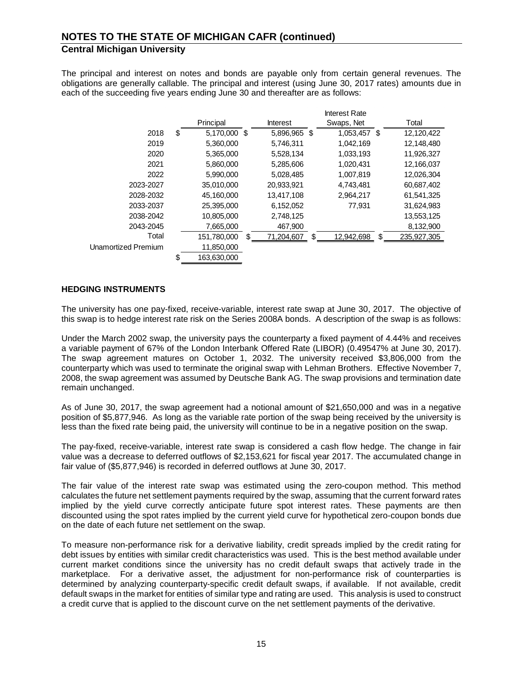The principal and interest on notes and bonds are payable only from certain general revenues. The obligations are generally callable. The principal and interest (using June 30, 2017 rates) amounts due in each of the succeeding five years ending June 30 and thereafter are as follows:

|                     |                    |                  | <b>Interest Rate</b> |                   |  |
|---------------------|--------------------|------------------|----------------------|-------------------|--|
|                     | Principal          | <b>Interest</b>  | Swaps, Net           | Total             |  |
| 2018                | \$<br>5,170,000 \$ | 5,896,965 \$     | 1,053,457 \$         | 12,120,422        |  |
| 2019                | 5,360,000          | 5,746,311        | 1,042,169            | 12,148,480        |  |
| 2020                | 5,365,000          | 5,528,134        | 1,033,193            | 11,926,327        |  |
| 2021                | 5,860,000          | 5,285,606        | 1,020,431            | 12,166,037        |  |
| 2022                | 5,990,000          | 5,028,485        | 1,007,819            | 12,026,304        |  |
| 2023-2027           | 35,010,000         | 20,933,921       | 4,743,481            | 60,687,402        |  |
| 2028-2032           | 45,160,000         | 13,417,108       | 2,964,217            | 61,541,325        |  |
| 2033-2037           | 25,395,000         | 6,152,052        | 77,931               | 31,624,983        |  |
| 2038-2042           | 10,805,000         | 2,748,125        |                      | 13,553,125        |  |
| 2043-2045           | 7,665,000          | 467,900          |                      | 8,132,900         |  |
| Total               | 151,780,000        | \$<br>71,204,607 | \$<br>12,942,698     | \$<br>235,927,305 |  |
| Unamortized Premium | 11,850,000         |                  |                      |                   |  |
|                     | \$<br>163,630,000  |                  |                      |                   |  |

#### **HEDGING INSTRUMENTS**

The university has one pay-fixed, receive-variable, interest rate swap at June 30, 2017. The objective of this swap is to hedge interest rate risk on the Series 2008A bonds. A description of the swap is as follows:

Under the March 2002 swap, the university pays the counterparty a fixed payment of 4.44% and receives a variable payment of 67% of the London Interbank Offered Rate (LIBOR) (0.49547% at June 30, 2017). The swap agreement matures on October 1, 2032. The university received \$3,806,000 from the counterparty which was used to terminate the original swap with Lehman Brothers. Effective November 7, 2008, the swap agreement was assumed by Deutsche Bank AG. The swap provisions and termination date remain unchanged.

As of June 30, 2017, the swap agreement had a notional amount of \$21,650,000 and was in a negative position of \$5,877,946. As long as the variable rate portion of the swap being received by the university is less than the fixed rate being paid, the university will continue to be in a negative position on the swap.

The pay-fixed, receive-variable, interest rate swap is considered a cash flow hedge. The change in fair value was a decrease to deferred outflows of \$2,153,621 for fiscal year 2017. The accumulated change in fair value of (\$5,877,946) is recorded in deferred outflows at June 30, 2017.

The fair value of the interest rate swap was estimated using the zero-coupon method. This method calculates the future net settlement payments required by the swap, assuming that the current forward rates implied by the yield curve correctly anticipate future spot interest rates. These payments are then discounted using the spot rates implied by the current yield curve for hypothetical zero-coupon bonds due on the date of each future net settlement on the swap.

To measure non-performance risk for a derivative liability, credit spreads implied by the credit rating for debt issues by entities with similar credit characteristics was used. This is the best method available under current market conditions since the university has no credit default swaps that actively trade in the marketplace. For a derivative asset, the adjustment for non-performance risk of counterparties is determined by analyzing counterparty-specific credit default swaps, if available. If not available, credit default swaps in the market for entities of similar type and rating are used. This analysis is used to construct a credit curve that is applied to the discount curve on the net settlement payments of the derivative.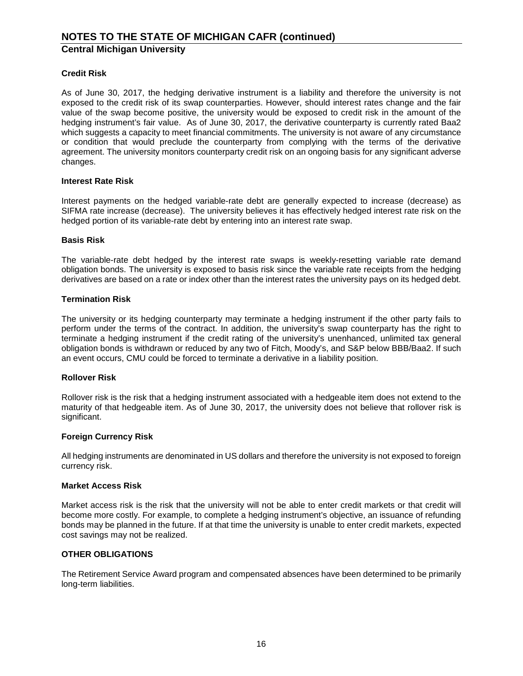#### **Credit Risk**

As of June 30, 2017, the hedging derivative instrument is a liability and therefore the university is not exposed to the credit risk of its swap counterparties. However, should interest rates change and the fair value of the swap become positive, the university would be exposed to credit risk in the amount of the hedging instrument's fair value. As of June 30, 2017, the derivative counterparty is currently rated Baa2 which suggests a capacity to meet financial commitments. The university is not aware of any circumstance or condition that would preclude the counterparty from complying with the terms of the derivative agreement. The university monitors counterparty credit risk on an ongoing basis for any significant adverse changes.

#### **Interest Rate Risk**

Interest payments on the hedged variable-rate debt are generally expected to increase (decrease) as SIFMA rate increase (decrease). The university believes it has effectively hedged interest rate risk on the hedged portion of its variable-rate debt by entering into an interest rate swap.

#### **Basis Risk**

The variable-rate debt hedged by the interest rate swaps is weekly-resetting variable rate demand obligation bonds. The university is exposed to basis risk since the variable rate receipts from the hedging derivatives are based on a rate or index other than the interest rates the university pays on its hedged debt.

#### **Termination Risk**

The university or its hedging counterparty may terminate a hedging instrument if the other party fails to perform under the terms of the contract. In addition, the university's swap counterparty has the right to terminate a hedging instrument if the credit rating of the university's unenhanced, unlimited tax general obligation bonds is withdrawn or reduced by any two of Fitch, Moody's, and S&P below BBB/Baa2. If such an event occurs, CMU could be forced to terminate a derivative in a liability position.

#### **Rollover Risk**

Rollover risk is the risk that a hedging instrument associated with a hedgeable item does not extend to the maturity of that hedgeable item. As of June 30, 2017, the university does not believe that rollover risk is significant.

#### **Foreign Currency Risk**

All hedging instruments are denominated in US dollars and therefore the university is not exposed to foreign currency risk.

#### **Market Access Risk**

Market access risk is the risk that the university will not be able to enter credit markets or that credit will become more costly. For example, to complete a hedging instrument's objective, an issuance of refunding bonds may be planned in the future. If at that time the university is unable to enter credit markets, expected cost savings may not be realized.

#### **OTHER OBLIGATIONS**

The Retirement Service Award program and compensated absences have been determined to be primarily long-term liabilities.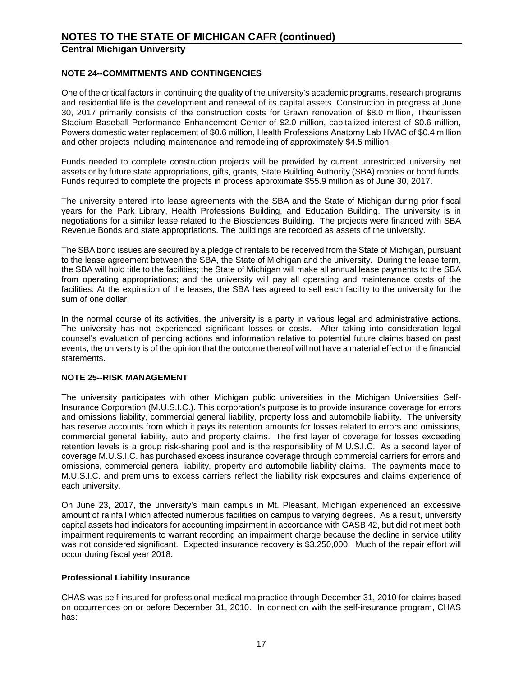## **NOTE 24--COMMITMENTS AND CONTINGENCIES**

One of the critical factors in continuing the quality of the university's academic programs, research programs and residential life is the development and renewal of its capital assets. Construction in progress at June 30, 2017 primarily consists of the construction costs for Grawn renovation of \$8.0 million, Theunissen Stadium Baseball Performance Enhancement Center of \$2.0 million, capitalized interest of \$0.6 million, Powers domestic water replacement of \$0.6 million, Health Professions Anatomy Lab HVAC of \$0.4 million and other projects including maintenance and remodeling of approximately \$4.5 million.

Funds needed to complete construction projects will be provided by current unrestricted university net assets or by future state appropriations, gifts, grants, State Building Authority (SBA) monies or bond funds. Funds required to complete the projects in process approximate \$55.9 million as of June 30, 2017.

The university entered into lease agreements with the SBA and the State of Michigan during prior fiscal years for the Park Library, Health Professions Building, and Education Building. The university is in negotiations for a similar lease related to the Biosciences Building. The projects were financed with SBA Revenue Bonds and state appropriations. The buildings are recorded as assets of the university.

The SBA bond issues are secured by a pledge of rentals to be received from the State of Michigan, pursuant to the lease agreement between the SBA, the State of Michigan and the university. During the lease term, the SBA will hold title to the facilities; the State of Michigan will make all annual lease payments to the SBA from operating appropriations; and the university will pay all operating and maintenance costs of the facilities. At the expiration of the leases, the SBA has agreed to sell each facility to the university for the sum of one dollar.

In the normal course of its activities, the university is a party in various legal and administrative actions. The university has not experienced significant losses or costs. After taking into consideration legal counsel's evaluation of pending actions and information relative to potential future claims based on past events, the university is of the opinion that the outcome thereof will not have a material effect on the financial statements.

#### **NOTE 25--RISK MANAGEMENT**

The university participates with other Michigan public universities in the Michigan Universities Self-Insurance Corporation (M.U.S.I.C.). This corporation's purpose is to provide insurance coverage for errors and omissions liability, commercial general liability, property loss and automobile liability. The university has reserve accounts from which it pays its retention amounts for losses related to errors and omissions, commercial general liability, auto and property claims. The first layer of coverage for losses exceeding retention levels is a group risk-sharing pool and is the responsibility of M.U.S.I.C. As a second layer of coverage M.U.S.I.C. has purchased excess insurance coverage through commercial carriers for errors and omissions, commercial general liability, property and automobile liability claims. The payments made to M.U.S.I.C. and premiums to excess carriers reflect the liability risk exposures and claims experience of each university.

On June 23, 2017, the university's main campus in Mt. Pleasant, Michigan experienced an excessive amount of rainfall which affected numerous facilities on campus to varying degrees. As a result, university capital assets had indicators for accounting impairment in accordance with GASB 42, but did not meet both impairment requirements to warrant recording an impairment charge because the decline in service utility was not considered significant. Expected insurance recovery is \$3,250,000. Much of the repair effort will occur during fiscal year 2018.

#### **Professional Liability Insurance**

CHAS was self-insured for professional medical malpractice through December 31, 2010 for claims based on occurrences on or before December 31, 2010. In connection with the self-insurance program, CHAS has: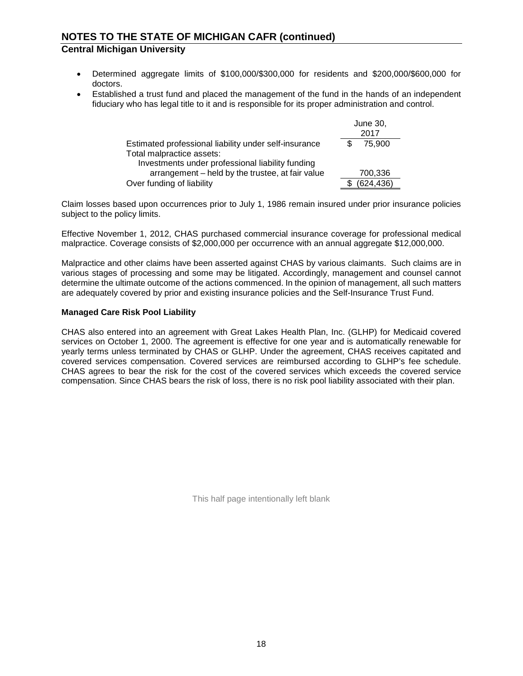# **NOTES TO THE STATE OF MICHIGAN CAFR (continued)**

# **Central Michigan University**

- Determined aggregate limits of \$100,000/\$300,000 for residents and \$200,000/\$600,000 for doctors.
- Established a trust fund and placed the management of the fund in the hands of an independent fiduciary who has legal title to it and is responsible for its proper administration and control.

|                                                       | June 30,<br>2017 |
|-------------------------------------------------------|------------------|
| Estimated professional liability under self-insurance | 75,900           |
| Total malpractice assets:                             |                  |
| Investments under professional liability funding      |                  |
| arrangement – held by the trustee, at fair value      | 700,336          |
| Over funding of liability                             | (624, 436)       |

Claim losses based upon occurrences prior to July 1, 1986 remain insured under prior insurance policies subject to the policy limits.

Effective November 1, 2012, CHAS purchased commercial insurance coverage for professional medical malpractice. Coverage consists of \$2,000,000 per occurrence with an annual aggregate \$12,000,000.

Malpractice and other claims have been asserted against CHAS by various claimants. Such claims are in various stages of processing and some may be litigated. Accordingly, management and counsel cannot determine the ultimate outcome of the actions commenced. In the opinion of management, all such matters are adequately covered by prior and existing insurance policies and the Self-Insurance Trust Fund.

#### **Managed Care Risk Pool Liability**

CHAS also entered into an agreement with Great Lakes Health Plan, Inc. (GLHP) for Medicaid covered services on October 1, 2000. The agreement is effective for one year and is automatically renewable for yearly terms unless terminated by CHAS or GLHP. Under the agreement, CHAS receives capitated and covered services compensation. Covered services are reimbursed according to GLHP's fee schedule. CHAS agrees to bear the risk for the cost of the covered services which exceeds the covered service compensation. Since CHAS bears the risk of loss, there is no risk pool liability associated with their plan.

This half page intentionally left blank